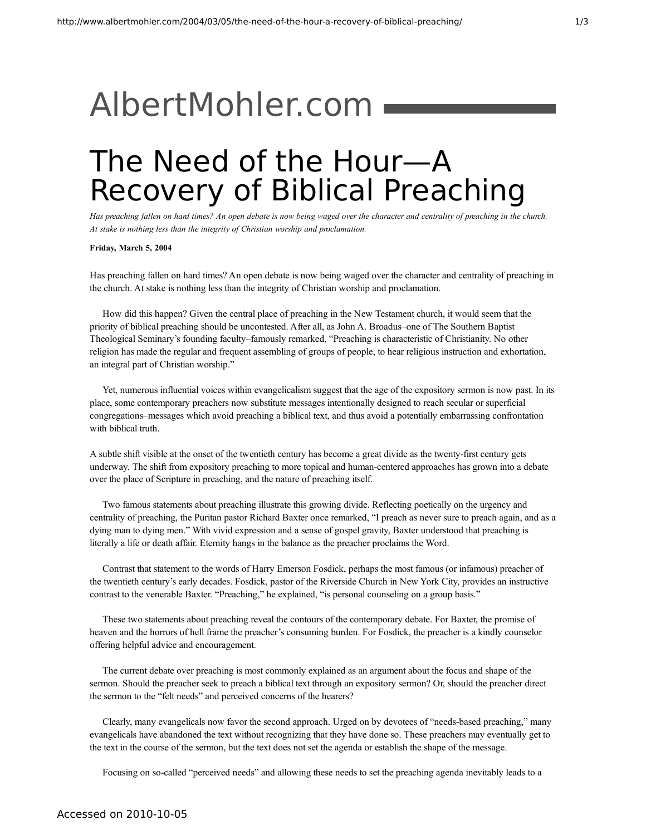## [AlbertMohler.com](http://www.albertmohler.com/)

## The Need of the Hour—A Recovery of Biblical Preaching

Has preaching fallen on hard times? An open debate is now being waged over the character and centrality of preaching in the church. *At stake is nothing less than the integrity of Christian worship and proclamation.*

**Friday, March 5, 2004**

Has preaching fallen on hard times? An open debate is now being waged over the character and centrality of preaching in the church. At stake is nothing less than the integrity of Christian worship and proclamation.

How did this happen? Given the central place of preaching in the New Testament church, it would seem that the priority of biblical preaching should be uncontested. After all, as John A. Broadus–one of The Southern Baptist Theological Seminary's founding faculty–famously remarked, "Preaching is characteristic of Christianity. No other religion has made the regular and frequent assembling of groups of people, to hear religious instruction and exhortation, an integral part of Christian worship."

Yet, numerous influential voices within evangelicalism suggest that the age of the expository sermon is now past. In its place, some contemporary preachers now substitute messages intentionally designed to reach secular or superficial congregations–messages which avoid preaching a biblical text, and thus avoid a potentially embarrassing confrontation with biblical truth.

A subtle shift visible at the onset of the twentieth century has become a great divide as the twenty-first century gets underway. The shift from expository preaching to more topical and human-centered approaches has grown into a debate over the place of Scripture in preaching, and the nature of preaching itself.

Two famous statements about preaching illustrate this growing divide. Reflecting poetically on the urgency and centrality of preaching, the Puritan pastor Richard Baxter once remarked, "I preach as never sure to preach again, and as a dying man to dying men." With vivid expression and a sense of gospel gravity, Baxter understood that preaching is literally a life or death affair. Eternity hangs in the balance as the preacher proclaims the Word.

Contrast that statement to the words of Harry Emerson Fosdick, perhaps the most famous (or infamous) preacher of the twentieth century's early decades. Fosdick, pastor of the Riverside Church in New York City, provides an instructive contrast to the venerable Baxter. "Preaching," he explained, "is personal counseling on a group basis."

These two statements about preaching reveal the contours of the contemporary debate. For Baxter, the promise of heaven and the horrors of hell frame the preacher's consuming burden. For Fosdick, the preacher is a kindly counselor offering helpful advice and encouragement.

The current debate over preaching is most commonly explained as an argument about the focus and shape of the sermon. Should the preacher seek to preach a biblical text through an expository sermon? Or, should the preacher direct the sermon to the "felt needs" and perceived concerns of the hearers?

Clearly, many evangelicals now favor the second approach. Urged on by devotees of "needs-based preaching," many evangelicals have abandoned the text without recognizing that they have done so. These preachers may eventually get to the text in the course of the sermon, but the text does not set the agenda or establish the shape of the message.

Focusing on so-called "perceived needs" and allowing these needs to set the preaching agenda inevitably leads to a